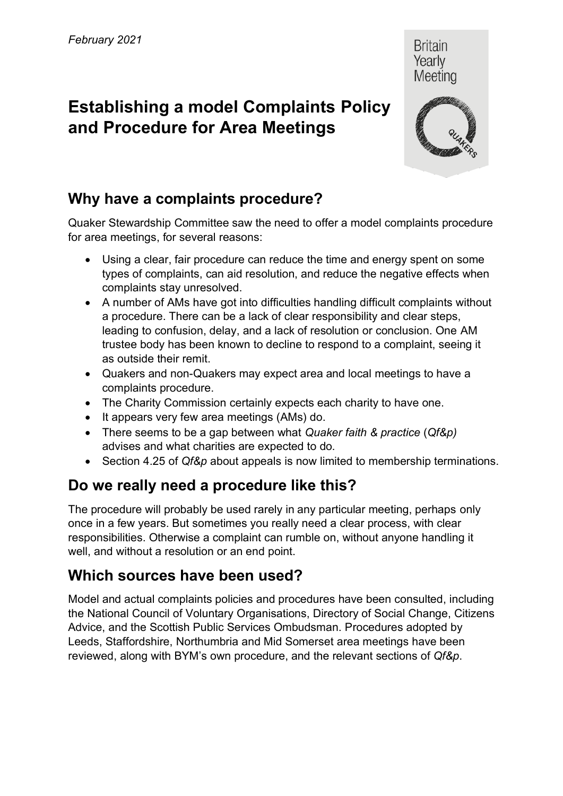# **Establishing a model Complaints Policy and Procedure for Area Meetings**



Quaker Stewardship Committee saw the need to offer a model complaints procedure for area meetings, for several reasons:

- Using a clear, fair procedure can reduce the time and energy spent on some types of complaints, can aid resolution, and reduce the negative effects when complaints stay unresolved.
- A number of AMs have got into difficulties handling difficult complaints without a procedure. There can be a lack of clear responsibility and clear steps, leading to confusion, delay, and a lack of resolution or conclusion. One AM trustee body has been known to decline to respond to a complaint, seeing it as outside their remit.
- Quakers and non-Quakers may expect area and local meetings to have a complaints procedure.
- The Charity Commission certainly expects each charity to have one.
- It appears very few area meetings (AMs) do.
- There seems to be a gap between what *Quaker faith & practice* (*Qf&p)*  advises and what charities are expected to do.
- Section 4.25 of *Qf&p* about appeals is now limited to membership terminations.

### **Do we really need a procedure like this?**

The procedure will probably be used rarely in any particular meeting, perhaps only once in a few years. But sometimes you really need a clear process, with clear responsibilities. Otherwise a complaint can rumble on, without anyone handling it well, and without a resolution or an end point.

#### **Which sources have been used?**

Model and actual complaints policies and procedures have been consulted, including the National Council of Voluntary Organisations, Directory of Social Change, Citizens Advice, and the Scottish Public Services Ombudsman. Procedures adopted by Leeds, Staffordshire, Northumbria and Mid Somerset area meetings have been reviewed, along with BYM's own procedure, and the relevant sections of *Qf&p*.



Britain Yearly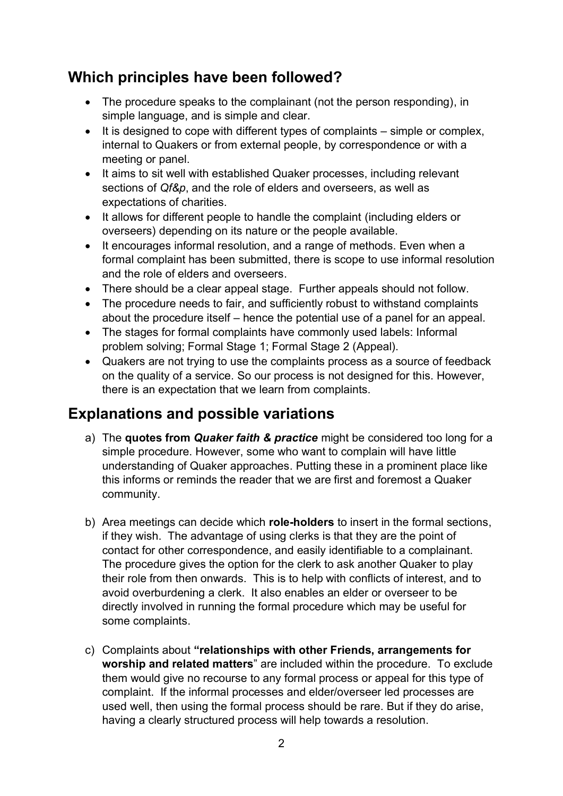#### **Which principles have been followed?**

- The procedure speaks to the complainant (not the person responding), in simple language, and is simple and clear.
- It is designed to cope with different types of complaints simple or complex, internal to Quakers or from external people, by correspondence or with a meeting or panel.
- It aims to sit well with established Quaker processes, including relevant sections of *Qf&p*, and the role of elders and overseers, as well as expectations of charities.
- It allows for different people to handle the complaint (including elders or overseers) depending on its nature or the people available.
- It encourages informal resolution, and a range of methods. Even when a formal complaint has been submitted, there is scope to use informal resolution and the role of elders and overseers.
- There should be a clear appeal stage. Further appeals should not follow.
- The procedure needs to fair, and sufficiently robust to withstand complaints about the procedure itself – hence the potential use of a panel for an appeal.
- The stages for formal complaints have commonly used labels: Informal problem solving; Formal Stage 1; Formal Stage 2 (Appeal).
- Quakers are not trying to use the complaints process as a source of feedback on the quality of a service. So our process is not designed for this. However, there is an expectation that we learn from complaints.

#### **Explanations and possible variations**

- a) The **quotes from** *Quaker faith & practice* might be considered too long for a simple procedure. However, some who want to complain will have little understanding of Quaker approaches. Putting these in a prominent place like this informs or reminds the reader that we are first and foremost a Quaker community.
- b) Area meetings can decide which **role-holders** to insert in the formal sections, if they wish. The advantage of using clerks is that they are the point of contact for other correspondence, and easily identifiable to a complainant. The procedure gives the option for the clerk to ask another Quaker to play their role from then onwards. This is to help with conflicts of interest, and to avoid overburdening a clerk. It also enables an elder or overseer to be directly involved in running the formal procedure which may be useful for some complaints.
- c) Complaints about **"relationships with other Friends, arrangements for worship and related matters**" are included within the procedure. To exclude them would give no recourse to any formal process or appeal for this type of complaint. If the informal processes and elder/overseer led processes are used well, then using the formal process should be rare. But if they do arise, having a clearly structured process will help towards a resolution.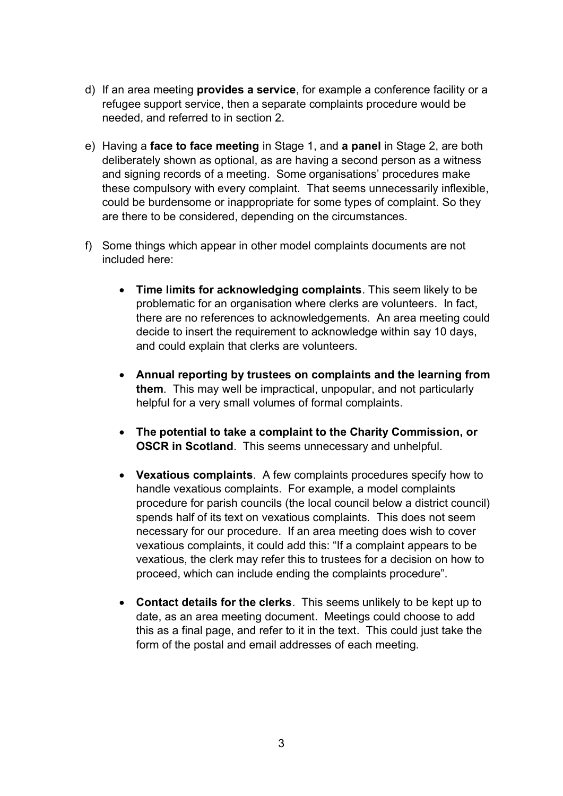- d) If an area meeting **provides a service**, for example a conference facility or a refugee support service, then a separate complaints procedure would be needed, and referred to in section 2.
- e) Having a **face to face meeting** in Stage 1, and **a panel** in Stage 2, are both deliberately shown as optional, as are having a second person as a witness and signing records of a meeting. Some organisations' procedures make these compulsory with every complaint. That seems unnecessarily inflexible, could be burdensome or inappropriate for some types of complaint. So they are there to be considered, depending on the circumstances.
- f) Some things which appear in other model complaints documents are not included here:
	- **Time limits for acknowledging complaints**. This seem likely to be problematic for an organisation where clerks are volunteers. In fact, there are no references to acknowledgements. An area meeting could decide to insert the requirement to acknowledge within say 10 days, and could explain that clerks are volunteers.
	- **Annual reporting by trustees on complaints and the learning from them**. This may well be impractical, unpopular, and not particularly helpful for a very small volumes of formal complaints.
	- **The potential to take a complaint to the Charity Commission, or OSCR in Scotland**. This seems unnecessary and unhelpful.
	- **Vexatious complaints**. A few complaints procedures specify how to handle vexatious complaints. For example, a model complaints procedure for parish councils (the local council below a district council) spends half of its text on vexatious complaints. This does not seem necessary for our procedure. If an area meeting does wish to cover vexatious complaints, it could add this: "If a complaint appears to be vexatious, the clerk may refer this to trustees for a decision on how to proceed, which can include ending the complaints procedure".
	- **Contact details for the clerks**. This seems unlikely to be kept up to date, as an area meeting document. Meetings could choose to add this as a final page, and refer to it in the text. This could just take the form of the postal and email addresses of each meeting.